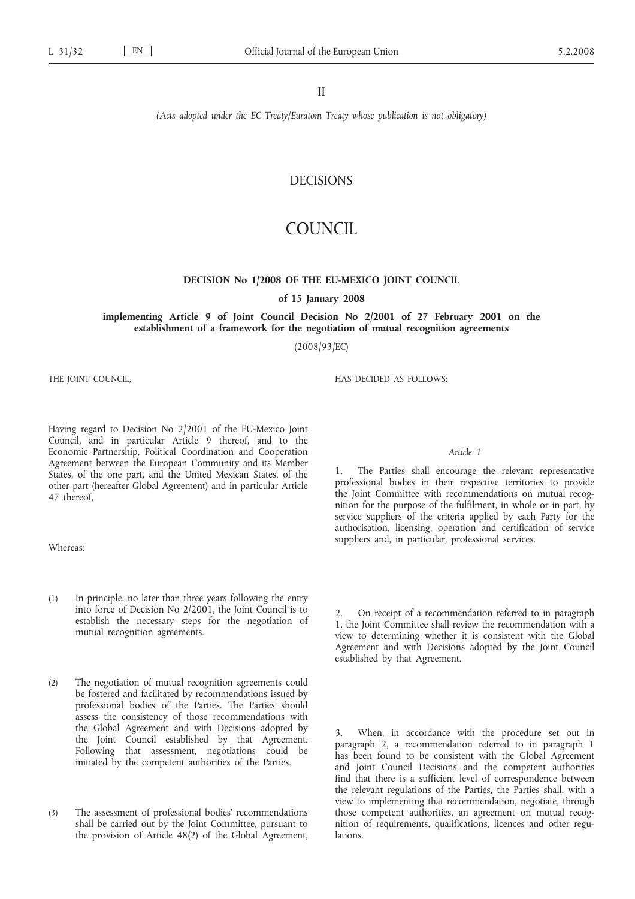*(Acts adopted under the EC Treaty/Euratom Treaty whose publication is not obligatory)*

# DECISIONS

# COUNCIL

#### **DECISION No 1/2008 OF THE EU-MEXICO JOINT COUNCIL**

of 15 January 2008<br>implementing Article 9 of Joint Council Decision No 2/2001 of 27 February 2001 on the **implements**  $\alpha$  of  $\alpha$  of  $\alpha$  is a set of  $\alpha$  of  $\alpha$  feature  $\alpha$  of  $\alpha$  feature  $\alpha$  of  $\alpha$  feature  $\alpha$  or the  $\alpha$  establishment of a framework for the negotiation of mutual recognition agreements **establishment of a framework for the negotiation of mutual recognition agreements**

(2008/93/EC)

THE JOINT COUNCIL,

HAS DECIDED AS FOLLOWS:

Having regard to Decision No 2/2001 of the EU-Mexico Joint Council, and in particular Article 9 thereof, and to the Economic Partnership, Political Coordination and Cooperation Agreement between the European Community and its Member States, of the one part, and the United Mexican States, of the other part (hereafter Global Agreement) and in particular Article 47 thereof,

Whereas:

- (1) In principle, no later than three years following the entry into force of Decision No 2/2001, the Joint Council is to establish the necessary steps for the negotiation of mutual recognition agreements.
- (2) The negotiation of mutual recognition agreements could be fostered and facilitated by recommendations issued by professional bodies of the Parties. The Parties should assess the consistency of those recommendations with the Global Agreement and with Decisions adopted by the Joint Council established by that Agreement. Following that assessment, negotiations could be initiated by the competent authorities of the Parties.
- (3) The assessment of professional bodies*'* recommendations shall be carried out by the Joint Committee, pursuant to the provision of Article 48(2) of the Global Agreement,

## *Article 1*

The Parties shall encourage the relevant representative professional bodies in their respective territories to provide the Joint Committee with recommendations on mutual recognition for the purpose of the fulfilment, in whole or in part, by service suppliers of the criteria applied by each Party for the authorisation, licensing, operation and certification of service suppliers and, in particular, professional services.

2. On receipt of a recommendation referred to in paragraph 1, the Joint Committee shall review the recommendation with a view to determining whether it is consistent with the Global Agreement and with Decisions adopted by the Joint Council established by that Agreement.

3. When, in accordance with the procedure set out in paragraph 2, a recommendation referred to in paragraph 1 has been found to be consistent with the Global Agreement and Joint Council Decisions and the competent authorities find that there is a sufficient level of correspondence between the relevant regulations of the Parties, the Parties shall, with a view to implementing that recommendation, negotiate, through those competent authorities, an agreement on mutual recognition of requirements, qualifications, licences and other regulations.